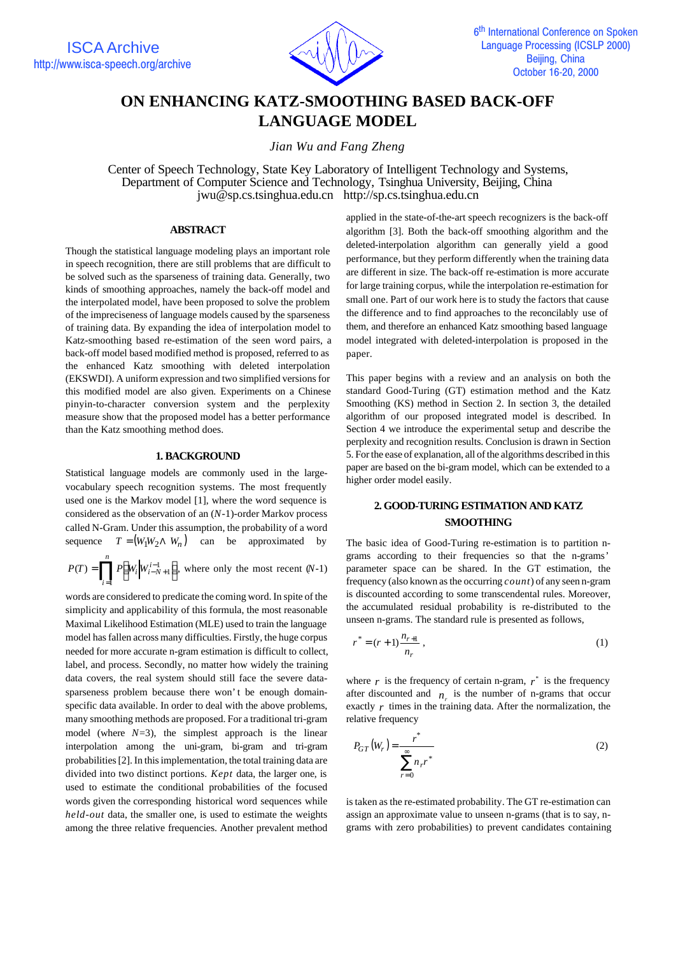

# **ON ENHANCING KATZ-SMOOTHING BASED BACK-OFF LANGUAGE MODEL**

*Jian Wu and Fang Zheng*

Center of Speech Technology, State Key Laboratory of Intelligent Technology and Systems, Department of Computer Science and Technology, Tsinghua University, Beijing, China jwu@sp.cs.tsinghua.edu.cn http://sp.cs.tsinghua.edu.cn

# **ABSTRACT**

Though the statistical language modeling plays an important role in speech recognition, there are still problems that are difficult to be solved such as the sparseness of training data. Generally, two kinds of smoothing approaches, namely the back-off model and the interpolated model, have been proposed to solve the problem of the impreciseness of language models caused by the sparseness of training data. By expanding the idea of interpolation model to Katz-smoothing based re-estimation of the seen word pairs, a back-off model based modified method is proposed, referred to as the enhanced Katz smoothing with deleted interpolation (EKSWDI). A uniform expression and two simplified versions for this modified model are also given. Experiments on a Chinese pinyin-to-character conversion system and the perplexity measure show that the proposed model has a better performance than the Katz smoothing method does.

## **1. BACKGROUND**

Statistical language models are commonly used in the largevocabulary speech recognition systems. The most frequently used one is the Markov model [1], where the word sequence is considered as the observation of an (*N*-1)-order Markov process called N-Gram. Under this assumption, the probability of a word sequence  $T = (W_1 W_2 \wedge W_n)$  can be approximated by

$$
P(T) = \prod_{i=1}^{n} P\left(W_i \middle| W_{i-N+1}^{i-1} \right), \text{ where only the most recent } (N-1)
$$

words are considered to predicate the coming word. In spite of the simplicity and applicability of this formula, the most reasonable Maximal Likelihood Estimation (MLE) used to train the language model has fallen across many difficulties. Firstly, the huge corpus needed for more accurate n-gram estimation is difficult to collect, label, and process. Secondly, no matter how widely the training data covers, the real system should still face the severe datasparseness problem because there won't be enough domainspecific data available. In order to deal with the above problems, many smoothing methods are proposed. For a traditional tri-gram model (where  $N=3$ ), the simplest approach is the linear interpolation among the uni-gram, bi-gram and tri-gram probabilities [2]. In this implementation, the total training data are divided into two distinct portions. *Kept* data, the larger one, is used to estimate the conditional probabilities of the focused words given the corresponding historical word sequences while *held-out* data, the smaller one, is used to estimate the weights among the three relative frequencies. Another prevalent method

applied in the state-of-the-art speech recognizers is the back-off algorithm [3]. Both the back-off smoothing algorithm and the deleted-interpolation algorithm can generally yield a good performance, but they perform differently when the training data are different in size. The back-off re-estimation is more accurate for large training corpus, while the interpolation re-estimation for small one. Part of our work here is to study the factors that cause the difference and to find approaches to the reconcilably use of them, and therefore an enhanced Katz smoothing based language model integrated with deleted-interpolation is proposed in the paper.

This paper begins with a review and an analysis on both the standard Good-Turing (GT) estimation method and the Katz Smoothing (KS) method in Section 2. In section 3, the detailed algorithm of our proposed integrated model is described. In Section 4 we introduce the experimental setup and describe the perplexity and recognition results. Conclusion is drawn in Section 5. For the ease of explanation, all of the algorithms described in this paper are based on the bi-gram model, which can be extended to a higher order model easily.

# **2. GOOD-TURING ESTIMATION AND KATZ SMOOTHING**

The basic idea of Good-Turing re-estimation is to partition ngrams according to their frequencies so that the n-grams' parameter space can be shared. In the GT estimation, the frequency (also known as the occurring *count*) of any seen n-gram is discounted according to some transcendental rules. Moreover, the accumulated residual probability is re-distributed to the unseen n-grams. The standard rule is presented as follows,

$$
r^* = (r+1)\frac{n_{r+1}}{n_r},
$$
\n(1)

where  $r$  is the frequency of certain n-gram,  $r^*$  is the frequency after discounted and  $n_r$  is the number of n-grams that occur exactly  $r$  times in the training data. After the normalization, the relative frequency

$$
P_{GT}(W_r) = \frac{r^*}{\sum_{r=0}^{\infty} n_r r^*}
$$
 (2)

is taken as the re-estimated probability. The GT re-estimation can assign an approximate value to unseen n-grams (that is to say, ngrams with zero probabilities) to prevent candidates containing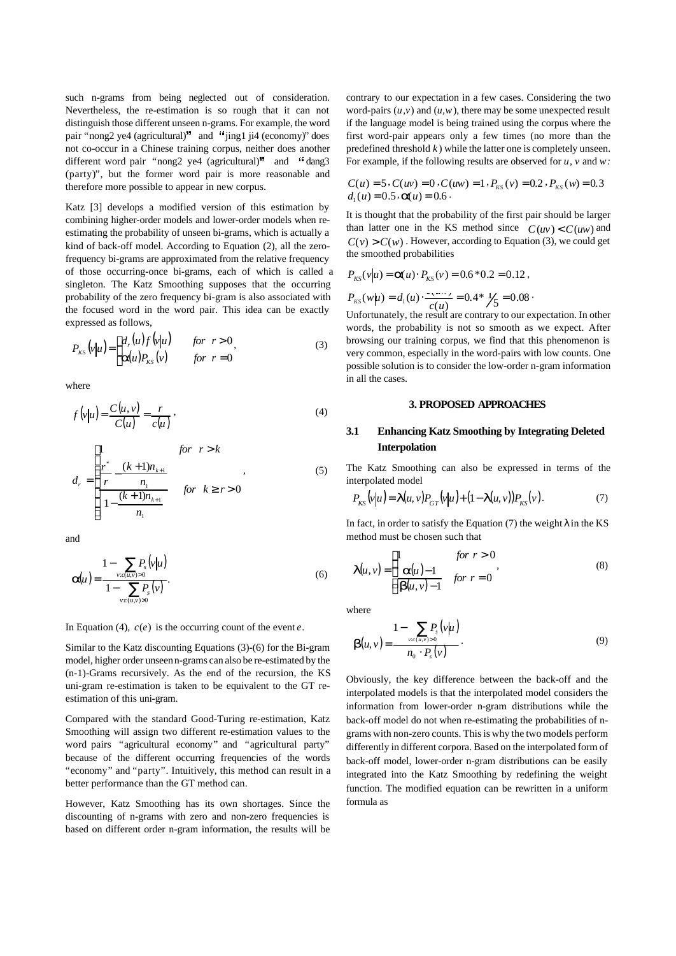such n-grams from being neglected out of consideration. Nevertheless, the re-estimation is so rough that it can not distinguish those different unseen n-grams. For example, the word pair "nong2 ye4 (agricultural)" and "jing1 ji4 (economy)" does not co-occur in a Chinese training corpus, neither does another different word pair "nong2 ye4 (agricultural)" and "dang3 (party)", but the former word pair is more reasonable and therefore more possible to appear in new corpus.

Katz [3] develops a modified version of this estimation by combining higher-order models and lower-order models when reestimating the probability of unseen bi-grams, which is actually a kind of back-off model. According to Equation (2), all the zerofrequency bi-grams are approximated from the relative frequency of those occurring-once bi-grams, each of which is called a singleton. The Katz Smoothing supposes that the occurring probability of the zero frequency bi-gram is also associated with the focused word in the word pair. This idea can be exactly expressed as follows,

$$
P_{KS}\left(\nu\middle|\mu\right) = \begin{cases} d_r(u)f\left(\nu\middle|\mu\right) & \text{for } r > 0, \\ \mathbf{a}(u)P_{KS}\left(\nu\right) & \text{for } r = 0 \end{cases}
$$
 (3)

where

$$
f(v|u) = \frac{C(u,v)}{C(u)} = \frac{r}{c(u)},
$$
\n(4)

$$
d_r = \begin{cases} \n1 & \text{for } r > k \\ \n\frac{r^*}{r} - \frac{(k+1)n_{k+1}}{n_1} & , \\ \n\frac{(k+1)n_{k+1}}{n_1} & \text{for } k \ge r > 0 \n\end{cases}
$$
\n(5)

and

$$
a(u) = \frac{1 - \sum_{v : c(u,v) > 0} P_s(v|u)}{1 - \sum_{v : c(u,v) > 0} P_s(v)}.
$$
\n(6)

In Equation (4),  $c(e)$  is the occurring count of the event  $e$ .

Similar to the Katz discounting Equations (3)-(6) for the Bi-gram model, higher order unseen n-grams can also be re-estimated by the (n-1)-Grams recursively. As the end of the recursion, the KS uni-gram re-estimation is taken to be equivalent to the GT reestimation of this uni-gram.

Compared with the standard Good-Turing re-estimation, Katz Smoothing will assign two different re-estimation values to the word pairs "agricultural economy" and "agricultural party" because of the different occurring frequencies of the words "economy" and "party". Intuitively, this method can result in a better performance than the GT method can.

However, Katz Smoothing has its own shortages. Since the discounting of n-grams with zero and non-zero frequencies is based on different order n-gram information, the results will be contrary to our expectation in a few cases. Considering the two word-pairs  $(u, v)$  and  $(u, w)$ , there may be some unexpected result if the language model is being trained using the corpus where the first word-pair appears only a few times (no more than the predefined threshold *k* ) while the latter one is completely unseen. For example, if the following results are observed for *u*, *v* and *w:*

$$
C(u) = 5 \cdot C(uv) = 0 \cdot C(uw) = 1 \cdot P_{KS}(v) = 0.2 \cdot P_{KS}(w) = 0.3
$$
  
d<sub>1</sub>(u) = 0.5 \cdot **a**(u) = 0.6

It is thought that the probability of the first pair should be larger than latter one in the KS method since  $C(uv) < C(uw)$  and  $C(v) > C(w)$ . However, according to Equation (3), we could get the smoothed probabilities

$$
P_{KS}(v|u) = \mathbf{z}(u) \cdot P_{KS}(v) = 0.6 * 0.2 = 0.12,
$$
  

$$
P_{KS}(w|u) = d_1(u) \cdot \frac{v_1 \cdot v_2}{c(u)} = 0.4 * \frac{1}{5} = 0.08.
$$

Unfortunately, the result are contrary to our expectation. In other words, the probability is not so smooth as we expect. After browsing our training corpus, we find that this phenomenon is very common, especially in the word-pairs with low counts. One possible solution is to consider the low-order n-gram information in all the cases.

# **3. PROPOSED APPROACHES**

# **3.1 Enhancing Katz Smoothing by Integrating Deleted Interpolation**

The Katz Smoothing can also be expressed in terms of the interpolated model

$$
P_{KS}\left(v\middle|\mathbf{u}\right) = \mathbf{I}(u,v)P_{GT}\left(v\middle|\mathbf{u}\right) + (1 - \mathbf{I}(u,v))P_{KS}\left(v\right). \tag{7}
$$

In fact, in order to satisfy the Equation  $(7)$  the weight  $\vec{l}$  in the KS method must be chosen such that

$$
\boldsymbol{I}(u,v) = \begin{cases} 1 & \text{for } r > 0 \\ \boldsymbol{a}(u) - 1 & \text{for } r = 0 \end{cases}
$$
 (8)

where

$$
\boldsymbol{b}(u,v) = \frac{1 - \sum_{v: c(u,v) > 0} P_s(v|u)}{n_0 \cdot P_s(v)}.
$$
\n(9)

Obviously, the key difference between the back-off and the interpolated models is that the interpolated model considers the information from lower-order n-gram distributions while the back-off model do not when re-estimating the probabilities of ngrams with non-zero counts. This is why the two models perform differently in different corpora. Based on the interpolated form of back-off model, lower-order n-gram distributions can be easily integrated into the Katz Smoothing by redefining the weight function. The modified equation can be rewritten in a uniform formula as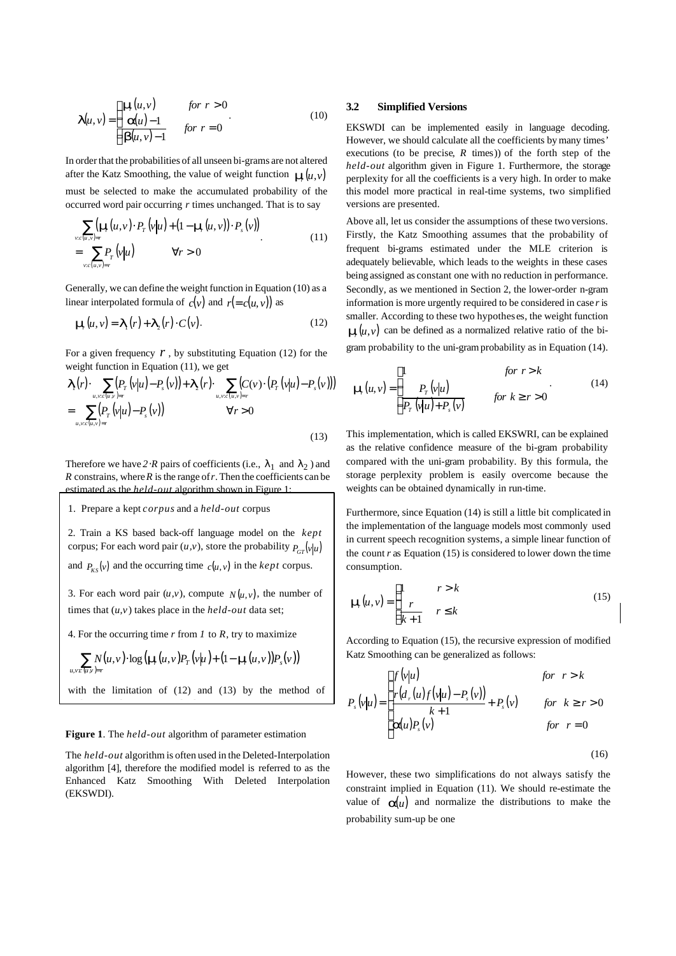$$
\boldsymbol{I}(u,v) = \begin{cases} \boldsymbol{m}(u,v) & \text{for } r > 0 \\ \boldsymbol{a}(u) - 1 & \text{for } r = 0 \end{cases}
$$
(10)

In order that the probabilities of all unseen bi-grams are not altered after the Katz Smoothing, the value of weight function  $\mathbf{m}(u, v)$ must be selected to make the accumulated probability of the occurred word pair occurring *r* times unchanged. That is to say

$$
\sum_{v:c(u,v)=r} (\mathbf{m}(u,v) \cdot P_r(v|u) + (1 - \mathbf{m}(u,v)) \cdot P_s(v))
$$
\n
$$
= \sum_{v:c(u,v)=r} P_r(v|u) \qquad \forall r > 0
$$
\n(11)

Generally, we can define the weight function in Equation (10) as a linear interpolated formula of  $c(v)$  and  $r (= c(u, v))$  as

$$
\mathbf{m}(u, v) = \mathbf{I}_1(r) + \mathbf{I}_2(r) \cdot C(v). \tag{12}
$$

For a given frequency  $r$ , by substituting Equation (12) for the weight function in Equation (11), we get

$$
\begin{split} \boldsymbol{I}_{1}(r) \cdot \sum_{u,v \in (u,v)=r} (P_{r}(v|u) - P_{s}(v)) + \boldsymbol{I}_{2}(r) \cdot \sum_{u,v \in (u,v)=r} (C(v) \cdot (P_{r}(v|u) - P_{s}(v))) \\ &= \sum_{u,v \in (u,v)=r} (P_{r}(v|u) - P_{s}(v)) \qquad \forall r > 0 \end{split} \tag{13}
$$

Therefore we have  $2 \mathcal{R}$  pairs of coefficients (i.e.,  $I_1$  and  $\lambda_2$ ) and  $R$  constrains, where  $R$  is the range of  $r$ . Then the coefficients can be estimated as the *held-out* algorithm shown in Figure 1:

1. Prepare a kept *corpus* and a *held-out* corpus

2. Train a KS based back-off language model on the *kept* corpus; For each word pair  $(u, v)$ , store the probability  $P_{GT}(v|u)$ and  $P_{KS}(v)$  and the occurring time  $c(u, v)$  in the *kept* corpus.

3. For each word pair  $(u, v)$ , compute  $N(u, v)$ , the number of times that (*u,v*) takes place in the *held-out* data set;

4. For the occurring time *r* from *1* to *R*, try to maximize

$$
\sum_{u,v:\langle u,v\rangle=r} N(u,v) \cdot \log\left(\mathbf{m}(u,v)P_T(v|u) + (1-\mathbf{m}(u,v))P_s(v)\right)
$$
  
with the limitation of (12) and (13) by the method of

#### **Figure 1**. The *held-out* algorithm of parameter estimation

undetermined Lagrange multiplier.

The *held-out* algorithm is often used in the Deleted-Interpolation algorithm [4], therefore the modified model is referred to as the Enhanced Katz Smoothing With Deleted Interpolation (EKSWDI).

## **3.2 Simplified Versions**

EKSWDI can be implemented easily in language decoding. However, we should calculate all the coefficients by many times' executions (to be precise, *R* times)) of the forth step of the *held-out* algorithm given in Figure 1. Furthermore, the storage perplexity for all the coefficients is a very high. In order to make this model more practical in real-time systems, two simplified versions are presented.

Above all, let us consider the assumptions of these two versions. Firstly, the Katz Smoothing assumes that the probability of frequent bi-grams estimated under the MLE criterion is adequately believable, which leads to the weights in these cases being assigned as constant one with no reduction in performance. Secondly, as we mentioned in Section 2, the lower-order n-gram information is more urgently required to be considered in case *r* is smaller. According to these two hypotheses, the weight function  $m(u, v)$  can be defined as a normalized relative ratio of the bigram probability to the uni-gram probability as in Equation (14).

$$
\mathbf{m}(u, v) = \begin{cases} 1 & \text{for } r > k \\ \frac{P_T(v|u)}{P_T(v|u) + P_s(v)} & \text{for } k \ge r > 0 \end{cases}
$$
(14)

This implementation, which is called EKSWRI, can be explained as the relative confidence measure of the bi-gram probability compared with the uni-gram probability. By this formula, the storage perplexity problem is easily overcome because the weights can be obtained dynamically in run-time.

Furthermore, since Equation (14) is still a little bit complicated in the implementation of the language models most commonly used in current speech recognition systems, a simple linear function of the count  $r$  as Equation (15) is considered to lower down the time consumption.

$$
\mathbf{m}(u,v) = \begin{cases} 1 & r > k \\ \frac{r}{k+1} & r \le k \end{cases}
$$
 (15)

According to Equation (15), the recursive expression of modified Katz Smoothing can be generalized as follows:

$$
P_s(v|u) = \begin{cases} f(v|u) & \text{for } r > k \\ \frac{r(d_r(u)f(v|u) - P_s(v))}{k+1} + P_s(v) & \text{for } k \ge r > 0 \\ a(u)P_s(v) & \text{for } r = 0 \end{cases}
$$

(16)

However, these two simplifications do not always satisfy the constraint implied in Equation (11). We should re-estimate the value of  $a(u)$  and normalize the distributions to make the probability sum-up be one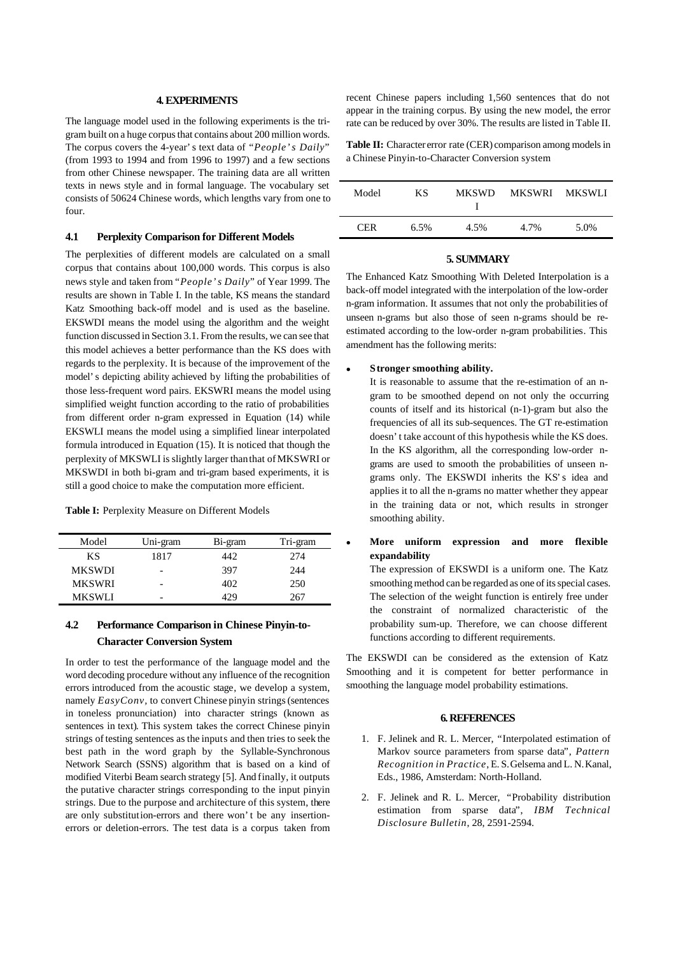#### **4. EXPERIMENTS**

The language model used in the following experiments is the trigram built on a huge corpus that contains about 200 million words. The corpus covers the 4-year's text data of "*People's Daily*" (from 1993 to 1994 and from 1996 to 1997) and a few sections from other Chinese newspaper. The training data are all written texts in news style and in formal language. The vocabulary set consists of 50624 Chinese words, which lengths vary from one to four.

## **4.1 Perplexity Comparison for Different Models**

The perplexities of different models are calculated on a small corpus that contains about 100,000 words. This corpus is also news style and taken from "*People's Daily*" of Year 1999. The results are shown in Table I. In the table, KS means the standard Katz Smoothing back-off model and is used as the baseline. EKSWDI means the model using the algorithm and the weight function discussed in Section 3.1. From the results, we can see that this model achieves a better performance than the KS does with regards to the perplexity. It is because of the improvement of the model's depicting ability achieved by lifting the probabilities of those less-frequent word pairs. EKSWRI means the model using simplified weight function according to the ratio of probabilities from different order n-gram expressed in Equation (14) while EKSWLI means the model using a simplified linear interpolated formula introduced in Equation (15). It is noticed that though the perplexity of MKSWLI is slightly larger than that of MKSWRI or MKSWDI in both bi-gram and tri-gram based experiments, it is still a good choice to make the computation more efficient.

|  |  |  | Table I: Perplexity Measure on Different Models |  |
|--|--|--|-------------------------------------------------|--|
|--|--|--|-------------------------------------------------|--|

| Model         | Uni-gram                 | Bi-gram | Tri-gram |
|---------------|--------------------------|---------|----------|
| ΚS            | 1817                     | 442     | 274      |
| <b>MKSWDI</b> | -                        | 397     | 244      |
| <b>MKSWRI</b> |                          | 402     | 250      |
| <b>MKSWLI</b> | $\overline{\phantom{0}}$ | 429     | 267      |

# **4.2 Performance Comparison in Chinese Pinyin-to-Character Conversion System**

In order to test the performance of the language model and the word decoding procedure without any influence of the recognition errors introduced from the acoustic stage, we develop a system, namely *EasyConv,* to convert Chinese pinyin strings (sentences in toneless pronunciation) into character strings (known as sentences in text). This system takes the correct Chinese pinyin strings of testing sentences as the inputs and then tries to seek the best path in the word graph by the Syllable-Synchronous Network Search (SSNS) algorithm that is based on a kind of modified Viterbi Beam search strategy [5]. And finally, it outputs the putative character strings corresponding to the input pinyin strings. Due to the purpose and architecture of this system, there are only substitution-errors and there won't be any insertionerrors or deletion-errors. The test data is a corpus taken from

recent Chinese papers including 1,560 sentences that do not appear in the training corpus. By using the new model, the error rate can be reduced by over 30%. The results are listed in Table II.

**Table II:** Character error rate (CER) comparison among models in a Chinese Pinyin-to-Character Conversion system

| Model | КS      | <b>MKSWD</b> | MKSWRI | MKSWLI |
|-------|---------|--------------|--------|--------|
| CER.  | $6.5\%$ | 4.5%         | 4.7%   | 5.0%   |

## **5. SUMMARY**

The Enhanced Katz Smoothing With Deleted Interpolation is a back-off model integrated with the interpolation of the low-order n-gram information. It assumes that not only the probabilities of unseen n-grams but also those of seen n-grams should be reestimated according to the low-order n-gram probabilities. This amendment has the following merits:

#### <sup>l</sup> **Stronger smoothing ability.**

It is reasonable to assume that the re-estimation of an ngram to be smoothed depend on not only the occurring counts of itself and its historical (n-1)-gram but also the frequencies of all its sub-sequences. The GT re-estimation doesn't take account of this hypothesis while the KS does. In the KS algorithm, all the corresponding low-order ngrams are used to smooth the probabilities of unseen ngrams only. The EKSWDI inherits the KS's idea and applies it to all the n-grams no matter whether they appear in the training data or not, which results in stronger smoothing ability.

# <sup>l</sup> **More uniform expression and more flexible expandability**

The expression of EKSWDI is a uniform one. The Katz smoothing method can be regarded as one of its special cases. The selection of the weight function is entirely free under the constraint of normalized characteristic of the probability sum-up. Therefore, we can choose different functions according to different requirements.

The EKSWDI can be considered as the extension of Katz Smoothing and it is competent for better performance in smoothing the language model probability estimations.

# **6. REFERENCES**

- 1. F. Jelinek and R. L. Mercer, "Interpolated estimation of Markov source parameters from sparse data", *Pattern Recognition in Practice*, E. S. Gelsema and L. N. Kanal, Eds., 1986, Amsterdam: North-Holland.
- 2. F. Jelinek and R. L. Mercer, "Probability distribution estimation from sparse data", *IBM Technical Disclosure Bulletin*, 28, 2591-2594.